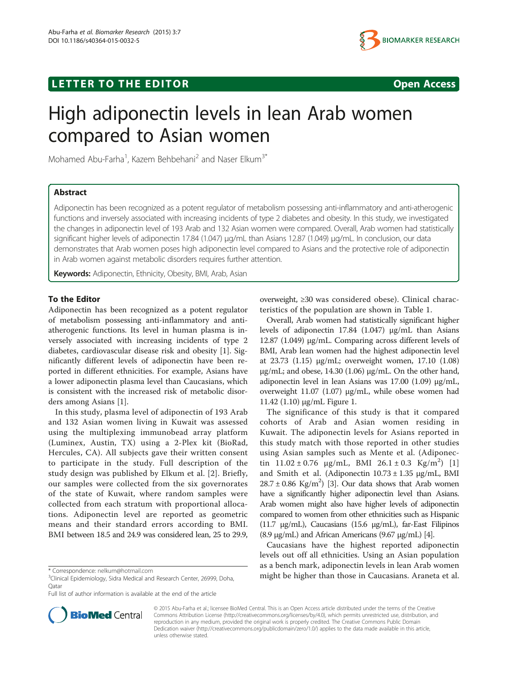## **LETTER TO THE EDITOR CONSIDERING ACCESS**



# High adiponectin levels in lean Arab women compared to Asian women

Mohamed Abu-Farha<sup>1</sup>, Kazem Behbehani<sup>2</sup> and Naser Elkum<sup>3\*</sup>

## Abstract

Adiponectin has been recognized as a potent regulator of metabolism possessing anti-inflammatory and anti-atherogenic functions and inversely associated with increasing incidents of type 2 diabetes and obesity. In this study, we investigated the changes in adiponectin level of 193 Arab and 132 Asian women were compared. Overall, Arab women had statistically significant higher levels of adiponectin 17.84 (1.047) μg/mL than Asians 12.87 (1.049) μg/mL. In conclusion, our data demonstrates that Arab women poses high adiponectin level compared to Asians and the protective role of adiponectin in Arab women against metabolic disorders requires further attention.

Keywords: Adiponectin, Ethnicity, Obesity, BMI, Arab, Asian

### To the Editor

Adiponectin has been recognized as a potent regulator of metabolism possessing anti-inflammatory and antiatherogenic functions. Its level in human plasma is inversely associated with increasing incidents of type 2 diabetes, cardiovascular disease risk and obesity [\[1\]](#page-1-0). Significantly different levels of adiponectin have been reported in different ethnicities. For example, Asians have a lower adiponectin plasma level than Caucasians, which is consistent with the increased risk of metabolic disorders among Asians [[1](#page-1-0)].

In this study, plasma level of adiponectin of 193 Arab and 132 Asian women living in Kuwait was assessed using the multiplexing immunobead array platform (Luminex, Austin, TX) using a 2-Plex kit (BioRad, Hercules, CA). All subjects gave their written consent to participate in the study. Full description of the study design was published by Elkum et al. [[2\]](#page-1-0). Briefly, our samples were collected from the six governorates of the state of Kuwait, where random samples were collected from each stratum with proportional allocations. Adiponectin level are reported as geometric means and their standard errors according to BMI. BMI between 18.5 and 24.9 was considered lean, 25 to 29.9,



Overall, Arab women had statistically significant higher levels of adiponectin 17.84 (1.047) μg/mL than Asians 12.87 (1.049) μg/mL. Comparing across different levels of BMI, Arab lean women had the highest adiponectin level at 23.73 (1.15) μg/mL; overweight women, 17.10 (1.08) μg/mL; and obese, 14.30 (1.06) μg/mL. On the other hand, adiponectin level in lean Asians was 17.00 (1.09) μg/mL, overweight 11.07 (1.07) μg/mL, while obese women had 11.42 (1.10) μg/mL Figure [1](#page-2-0).

The significance of this study is that it compared cohorts of Arab and Asian women residing in Kuwait. The adiponectin levels for Asians reported in this study match with those reported in other studies using Asian samples such as Mente et al. (Adiponectin  $11.02 \pm 0.76$   $\mu$ g/mL, BMI 26.1  $\pm$  0.3 Kg/m<sup>2</sup>) [\[1](#page-1-0)] and Smith et al. (Adiponectin 10.73 ± 1.35 μg/mL, BMI  $28.7 \pm 0.86$  Kg/m<sup>2</sup>) [\[3\]](#page-1-0). Our data shows that Arab women have a significantly higher adiponectin level than Asians. Arab women might also have higher levels of adiponectin compared to women from other ethnicities such as Hispanic (11.7 μg/mL), Caucasians (15.6 μg/mL), far-East Filipinos (8.9 μg/mL) and African Americans (9.67 μg/mL) [\[4\]](#page-1-0).

Caucasians have the highest reported adiponectin levels out off all ethnicities. Using an Asian population as a bench mark, adiponectin levels in lean Arab women \* Correspondence: [nelkum@hotmail.com](mailto:nelkum@hotmail.com) and the new state in the state of the higher than those in Caucasians. Araneta et al.



© 2015 Abu-Farha et al.; licensee BioMed Central. This is an Open Access article distributed under the terms of the Creative Commons Attribution License [\(http://creativecommons.org/licenses/by/4.0\)](http://creativecommons.org/licenses/by/4.0), which permits unrestricted use, distribution, and reproduction in any medium, provided the original work is properly credited. The Creative Commons Public Domain Dedication waiver [\(http://creativecommons.org/publicdomain/zero/1.0/](http://creativecommons.org/publicdomain/zero/1.0/)) applies to the data made available in this article, unless otherwise stated.

<sup>&</sup>lt;sup>3</sup>Clinical Epidemiology, Sidra Medical and Research Center, 26999, Doha, Qatar

Full list of author information is available at the end of the article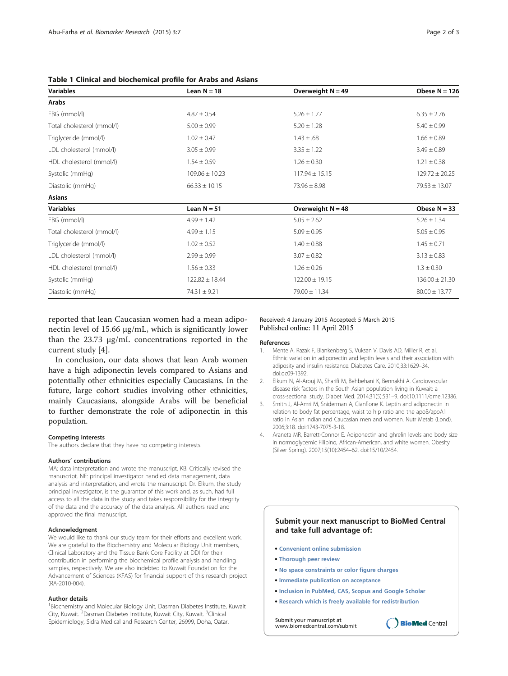| <b>Variables</b>           | Lean $N = 18$      | Overweight $N = 49$ | Obese $N = 126$    |
|----------------------------|--------------------|---------------------|--------------------|
| Arabs                      |                    |                     |                    |
| FBG (mmol/l)               | $4.87 \pm 0.54$    | $5.26 \pm 1.77$     | $6.35 \pm 2.76$    |
| Total cholesterol (mmol/l) | $5.00 \pm 0.99$    | $5.20 \pm 1.28$     | $5.40 \pm 0.99$    |
| Triglyceride (mmol/l)      | $1.02 \pm 0.47$    | $1.43 \pm .68$      | $1.66 \pm 0.89$    |
| LDL cholesterol (mmol/l)   | $3.05 \pm 0.99$    | $3.35 \pm 1.22$     | $3.49 \pm 0.89$    |
| HDL cholesterol (mmol/l)   | $1.54 \pm 0.59$    | $1.26 \pm 0.30$     | $1.21 \pm 0.38$    |
| Systolic (mmHg)            | $109.06 \pm 10.23$ | $117.94 \pm 15.15$  | $129.72 \pm 20.25$ |
| Diastolic (mmHq)           | $66.33 \pm 10.15$  | $73.96 \pm 8.98$    | $79.53 \pm 13.07$  |
| <b>Asians</b>              |                    |                     |                    |
| <b>Variables</b>           | Lean $N = 51$      | Overweight $N = 48$ | Obese $N = 33$     |
| FBG (mmol/l)               | $4.99 \pm 1.42$    | $5.05 \pm 2.62$     | $5.26 \pm 1.34$    |
| Total cholesterol (mmol/l) | $4.99 \pm 1.15$    | $5.09 \pm 0.95$     | $5.05 \pm 0.95$    |
| Triglyceride (mmol/l)      | $1.02 \pm 0.52$    | $1.40 \pm 0.88$     | $1.45 \pm 0.71$    |
| LDL cholesterol (mmol/l)   | $2.99 \pm 0.99$    | $3.07 \pm 0.82$     | $3.13 \pm 0.83$    |
| HDL cholesterol (mmol/l)   | $1.56 \pm 0.33$    | $1.26 \pm 0.26$     | $1.3 \pm 0.30$     |
| Systolic (mmHq)            | $122.82 \pm 18.44$ | $122.00 \pm 19.15$  | $136.00 \pm 21.30$ |
| Diastolic (mmHq)           | $74.31 \pm 9.21$   | $79.00 \pm 11.34$   | $80.00 \pm 13.77$  |

<span id="page-1-0"></span>Table 1 Clinical and biochemical profile for Arabs and Asians

reported that lean Caucasian women had a mean adiponectin level of 15.66 μg/mL, which is significantly lower than the 23.73 μg/mL concentrations reported in the current study [4].

In conclusion, our data shows that lean Arab women have a high adiponectin levels compared to Asians and potentially other ethnicities especially Caucasians. In the future, large cohort studies involving other ethnicities, mainly Caucasians, alongside Arabs will be beneficial to further demonstrate the role of adiponectin in this population.

#### Competing interests

The authors declare that they have no competing interests.

#### Authors' contributions

MA: data interpretation and wrote the manuscript. KB: Critically revised the manuscript. NE: principal investigator handled data management, data analysis and interpretation, and wrote the manuscript. Dr. Elkum, the study principal investigator, is the guarantor of this work and, as such, had full access to all the data in the study and takes responsibility for the integrity of the data and the accuracy of the data analysis. All authors read and approved the final manuscript.

#### Acknowledgment

We would like to thank our study team for their efforts and excellent work. We are grateful to the Biochemistry and Molecular Biology Unit members, Clinical Laboratory and the Tissue Bank Core Facility at DDI for their contribution in performing the biochemical profile analysis and handling samples, respectively. We are also indebted to Kuwait Foundation for the Advancement of Sciences (KFAS) for financial support of this research project (RA-2010-004).

#### Author details

<sup>1</sup> Biochemistry and Molecular Biology Unit, Dasman Diabetes Institute, Kuwait City, Kuwait. <sup>2</sup>Dasman Diabetes Institute, Kuwait City, Kuwait. <sup>3</sup>Clinical Epidemiology, Sidra Medical and Research Center, 26999, Doha, Qatar.

#### Received: 4 January 2015 Accepted: 5 March 2015 Published online: 11 April 2015

#### References

- 1. Mente A, Razak F, Blankenberg S, Vuksan V, Davis AD, Miller R, et al. Ethnic variation in adiponectin and leptin levels and their association with adiposity and insulin resistance. Diabetes Care. 2010;33:1629–34. doi:dc09-1392.
- 2. Elkum N, Al-Arouj M, Sharifi M, Behbehani K, Bennakhi A. Cardiovascular disease risk factors in the South Asian population living in Kuwait: a cross-sectional study. Diabet Med. 2014;31(5):531–9. doi:10.1111/dme.12386.
- 3. Smith J, Al-Amri M, Sniderman A, Cianflone K. Leptin and adiponectin in relation to body fat percentage, waist to hip ratio and the apoB/apoA1 ratio in Asian Indian and Caucasian men and women. Nutr Metab (Lond). 2006;3:18. doi:1743-7075-3-18.
- 4. Araneta MR, Barrett-Connor E. Adiponectin and ghrelin levels and body size in normoglycemic Filipino, African-American, and white women. Obesity (Silver Spring). 2007;15(10):2454–62. doi:15/10/2454.

#### **Submit your next manuscript to BioMed Central and take full advantage of:**

- **Convenient online submission**
- **Thorough peer review**
- **No space constraints or color figure charges**
- **Immediate publication on acceptance**
- **Inclusion in PubMed, CAS, Scopus and Google Scholar**
- **Research which is freely available for redistribution**

**BioMed** Central

Submit your manuscript at www.biomedcentral.com/submit